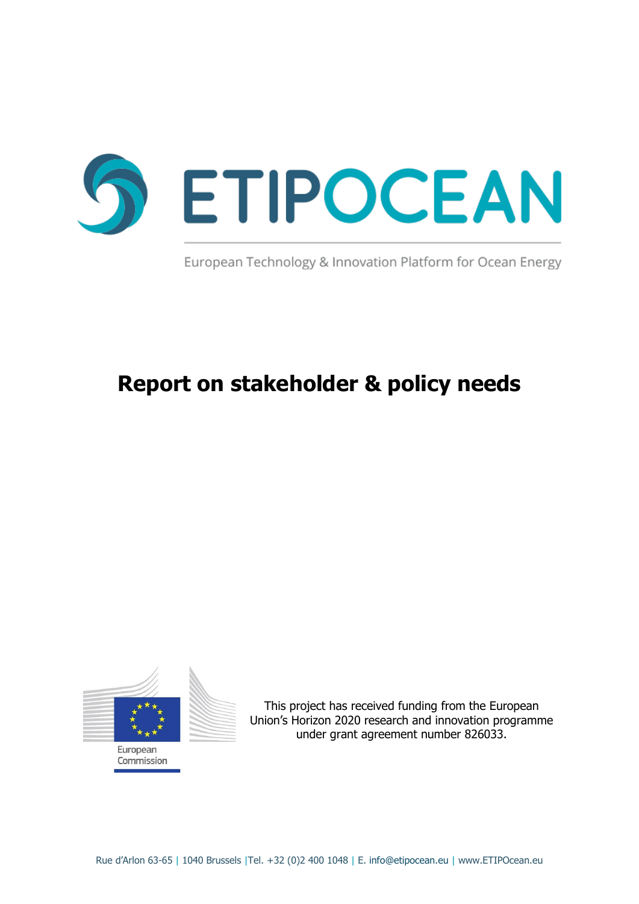

European Technology & Innovation Platform for Ocean Energy

# **Report on stakeholder & policy needs**



This project has received funding from the European Union's Horizon 2020 research and innovation programme under grant agreement number 826033.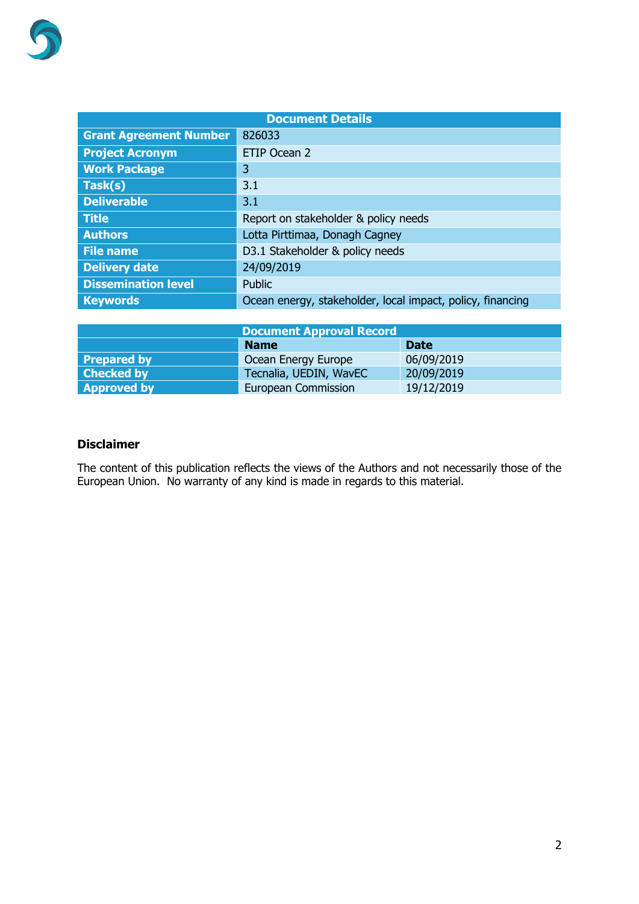| <b>Document Details</b>       |                                                            |  |  |
|-------------------------------|------------------------------------------------------------|--|--|
| <b>Grant Agreement Number</b> | 826033                                                     |  |  |
| <b>Project Acronym</b>        | ETIP Ocean 2                                               |  |  |
| <b>Work Package</b>           | 3                                                          |  |  |
| Task(s)                       | 3.1                                                        |  |  |
| <b>Deliverable</b>            | 3.1                                                        |  |  |
| <b>Title</b>                  | Report on stakeholder & policy needs                       |  |  |
| <b>Authors</b>                | Lotta Pirttimaa, Donagh Cagney                             |  |  |
| <b>File name</b>              | D3.1 Stakeholder & policy needs                            |  |  |
| <b>Delivery date</b>          | 24/09/2019                                                 |  |  |
| <b>Dissemination level</b>    | Public                                                     |  |  |
| <b>Keywords</b>               | Ocean energy, stakeholder, local impact, policy, financing |  |  |

|                    | <b>Document Approval Record</b> |             |  |
|--------------------|---------------------------------|-------------|--|
|                    | <b>Name</b>                     | <b>Date</b> |  |
| <b>Prepared by</b> | Ocean Energy Europe             | 06/09/2019  |  |
| <b>Checked by</b>  | Tecnalia, UEDIN, WavEC          | 20/09/2019  |  |
| <b>Approved by</b> | European Commission             | 19/12/2019  |  |

#### **Disclaimer**

The content of this publication reflects the views of the Authors and not necessarily those of the European Union. No warranty of any kind is made in regards to this material.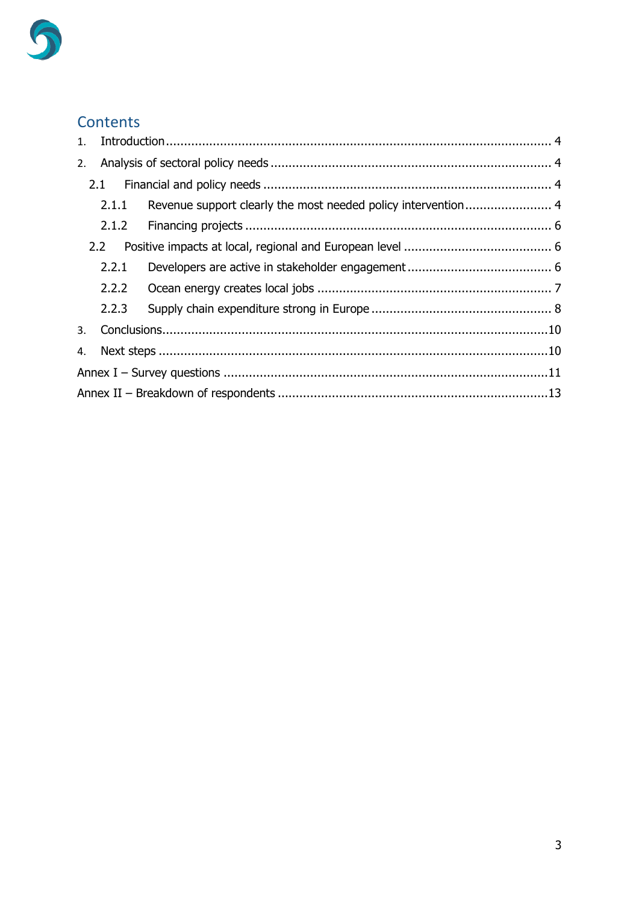

## Contents

| 1. |                  |  |  |
|----|------------------|--|--|
| 2. |                  |  |  |
|    |                  |  |  |
|    | 2.1.1            |  |  |
|    | 2.1.2            |  |  |
|    | 2.2 <sub>2</sub> |  |  |
|    | 2.2.1            |  |  |
|    | 2.2.2            |  |  |
|    | 2.2.3            |  |  |
| 3. |                  |  |  |
| 4. |                  |  |  |
|    |                  |  |  |
|    |                  |  |  |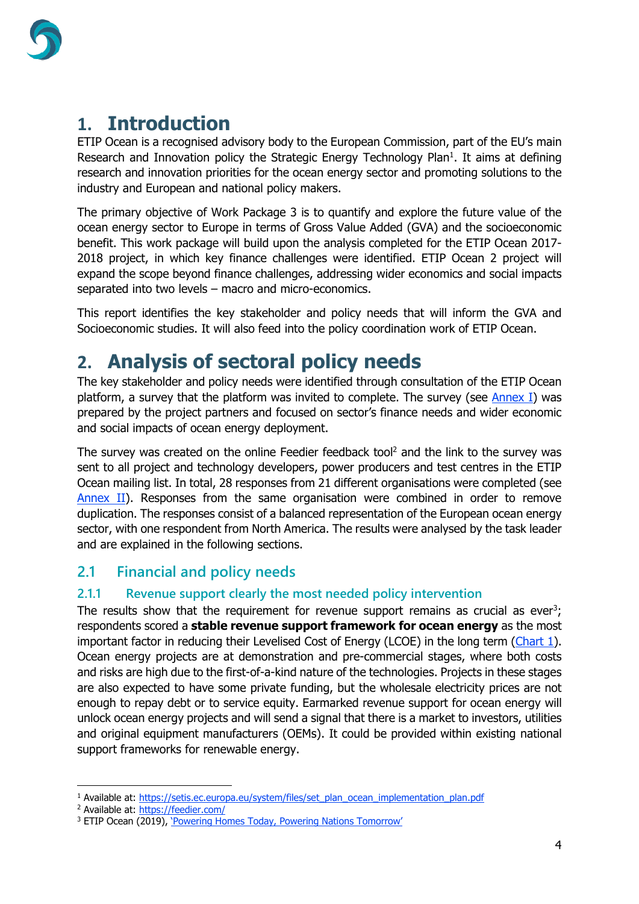

## <span id="page-3-0"></span>**1. Introduction**

ETIP Ocean is a recognised advisory body to the European Commission, part of the EU's main Research and Innovation policy the Strategic Energy Technology Plan<sup>1</sup>. It aims at defining research and innovation priorities for the ocean energy sector and promoting solutions to the industry and European and national policy makers.

The primary objective of Work Package 3 is to quantify and explore the future value of the ocean energy sector to Europe in terms of Gross Value Added (GVA) and the socioeconomic benefit. This work package will build upon the analysis completed for the ETIP Ocean 2017- 2018 project, in which key finance challenges were identified. ETIP Ocean 2 project will expand the scope beyond finance challenges, addressing wider economics and social impacts separated into two levels – macro and micro-economics.

This report identifies the key stakeholder and policy needs that will inform the GVA and Socioeconomic studies. It will also feed into the policy coordination work of ETIP Ocean.

## <span id="page-3-1"></span>**2. Analysis of sectoral policy needs**

The key stakeholder and policy needs were identified through consultation of the ETIP Ocean platform, a survey that the platform was invited to complete. The survey (see Annex I) was prepared by the project partners and focused on sector's finance needs and wider economic and social impacts of ocean energy deployment.

The survey was created on the online Feedier feedback tool<sup>2</sup> and the link to the survey was sent to all project and technology developers, power producers and test centres in the ETIP Ocean mailing list. In total, 28 responses from 21 different organisations were completed (see [Annex II\)](#page-12-0). Responses from the same organisation were combined in order to remove duplication. The responses consist of a balanced representation of the European ocean energy sector, with one respondent from North America. The results were analysed by the task leader and are explained in the following sections.

### <span id="page-3-2"></span>**2.1 Financial and policy needs**

### <span id="page-3-3"></span>**2.1.1 Revenue support clearly the most needed policy intervention**

The results show that the requirement for revenue support remains as crucial as ever<sup>3</sup>; respondents scored a **stable revenue support framework for ocean energy** as the most important factor in reducing their Levelised Cost of Energy (LCOE) in the long term [\(Chart](#page-4-0) 1). Ocean energy projects are at demonstration and pre-commercial stages, where both costs and risks are high due to the first-of-a-kind nature of the technologies. Projects in these stages are also expected to have some private funding, but the wholesale electricity prices are not enough to repay debt or to service equity. Earmarked revenue support for ocean energy will unlock ocean energy projects and will send a signal that there is a market to investors, utilities and original equipment manufacturers (OEMs). It could be provided within existing national support frameworks for renewable energy.

<sup>&</sup>lt;sup>1</sup> Available at: [https://setis.ec.europa.eu/system/files/set\\_plan\\_ocean\\_implementation\\_plan.pdf](https://setis.ec.europa.eu/system/files/set_plan_ocean_implementation_plan.pdf)

<sup>&</sup>lt;sup>2</sup> Available at: https://feedier.com/

<sup>&</sup>lt;sup>3</sup> ETIP Ocean (2019), *['Powering Homes Today, Powering Nations Tomorrow'](https://www.etipocean.eu/assets/Uploads/ETIP-Ocean-Integrated-Strategy-2019-LR2.pdf)*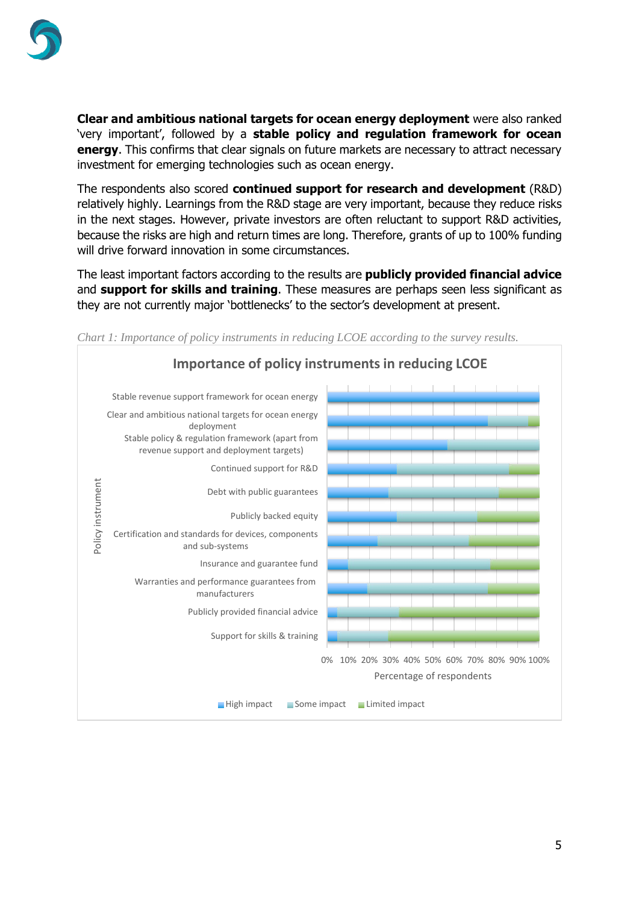

**Clear and ambitious national targets for ocean energy deployment** were also ranked 'very important', followed by a **stable policy and regulation framework for ocean energy**. This confirms that clear signals on future markets are necessary to attract necessary investment for emerging technologies such as ocean energy.

The respondents also scored **continued support for research and development** (R&D) relatively highly. Learnings from the R&D stage are very important, because they reduce risks in the next stages. However, private investors are often reluctant to support R&D activities, because the risks are high and return times are long. Therefore, grants of up to 100% funding will drive forward innovation in some circumstances.

The least important factors according to the results are **publicly provided financial advice** and **support for skills and training**. These measures are perhaps seen less significant as they are not currently major 'bottlenecks' to the sector's development at present.



<span id="page-4-0"></span>*Chart 1: Importance of policy instruments in reducing LCOE according to the survey results.*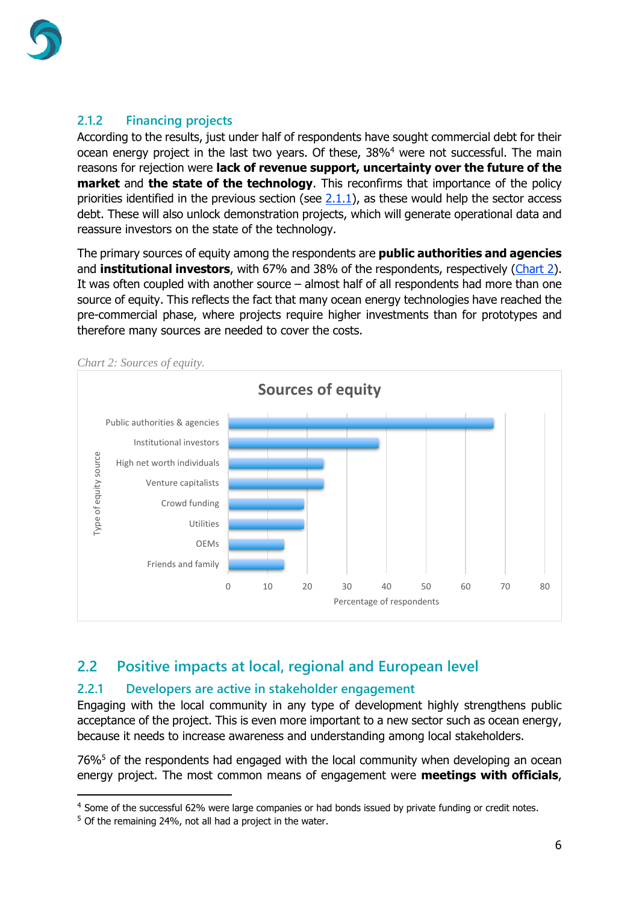

### <span id="page-5-0"></span>**2.1.2 Financing projects**

According to the results, just under half of respondents have sought commercial debt for their ocean energy project in the last two years. Of these, 38%<sup>4</sup> were not successful. The main reasons for rejection were **lack of revenue support, uncertainty over the future of the market** and **the state of the technology**. This reconfirms that importance of the policy priorities identified in the previous section (see  $2.1.1$ ), as these would help the sector access debt. These will also unlock demonstration projects, which will generate operational data and reassure investors on the state of the technology.

The primary sources of equity among the respondents are **public authorities and agencies** and **institutional investors**, with 67% and 38% of the respondents, respectively [\(Chart](#page-5-3) 2). It was often coupled with another source – almost half of all respondents had more than one source of equity. This reflects the fact that many ocean energy technologies have reached the pre-commercial phase, where projects require higher investments than for prototypes and therefore many sources are needed to cover the costs.



<span id="page-5-3"></span>*Chart 2: Sources of equity.*

### <span id="page-5-1"></span>**2.2 Positive impacts at local, regional and European level**

### <span id="page-5-2"></span>**2.2.1 Developers are active in stakeholder engagement**

Engaging with the local community in any type of development highly strengthens public acceptance of the project. This is even more important to a new sector such as ocean energy, because it needs to increase awareness and understanding among local stakeholders.

76%<sup>5</sup> of the respondents had engaged with the local community when developing an ocean energy project. The most common means of engagement were **meetings with officials**,

<sup>4</sup> Some of the successful 62% were large companies or had bonds issued by private funding or credit notes.

 $5$  Of the remaining 24%, not all had a project in the water.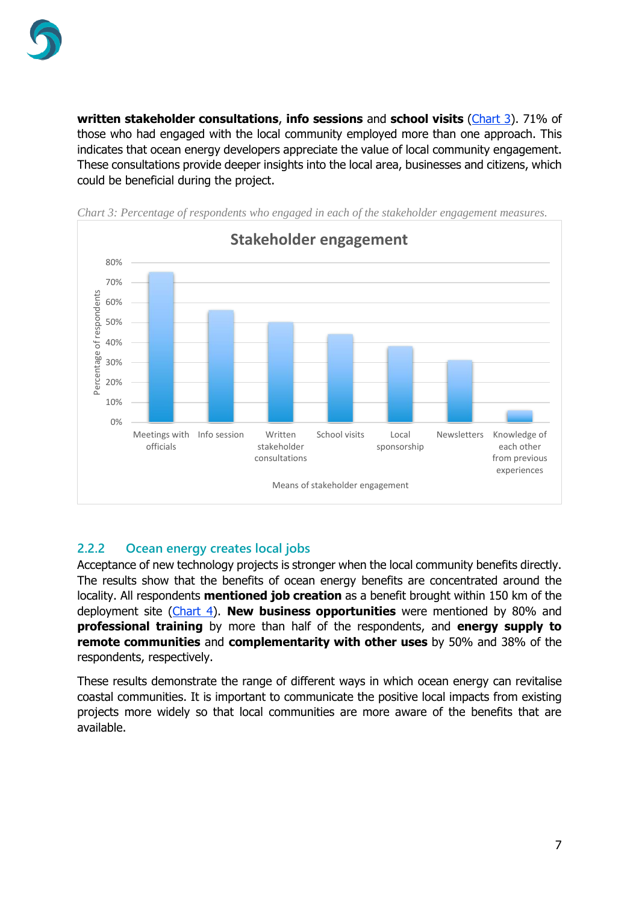

**written stakeholder consultations, info sessions** and **school visits** [\(Chart 3\)](#page-6-1). 71% of those who had engaged with the local community employed more than one approach. This indicates that ocean energy developers appreciate the value of local community engagement. These consultations provide deeper insights into the local area, businesses and citizens, which could be beneficial during the project.

<span id="page-6-1"></span>



#### <span id="page-6-0"></span>**2.2.2 Ocean energy creates local jobs**

Acceptance of new technology projects is stronger when the local community benefits directly. The results show that the benefits of ocean energy benefits are concentrated around the locality. All respondents **mentioned job creation** as a benefit brought within 150 km of the deployment site [\(Chart 4\)](#page-7-1). **New business opportunities** were mentioned by 80% and **professional training** by more than half of the respondents, and **energy supply to remote communities** and **complementarity with other uses** by 50% and 38% of the respondents, respectively.

These results demonstrate the range of different ways in which ocean energy can revitalise coastal communities. It is important to communicate the positive local impacts from existing projects more widely so that local communities are more aware of the benefits that are available.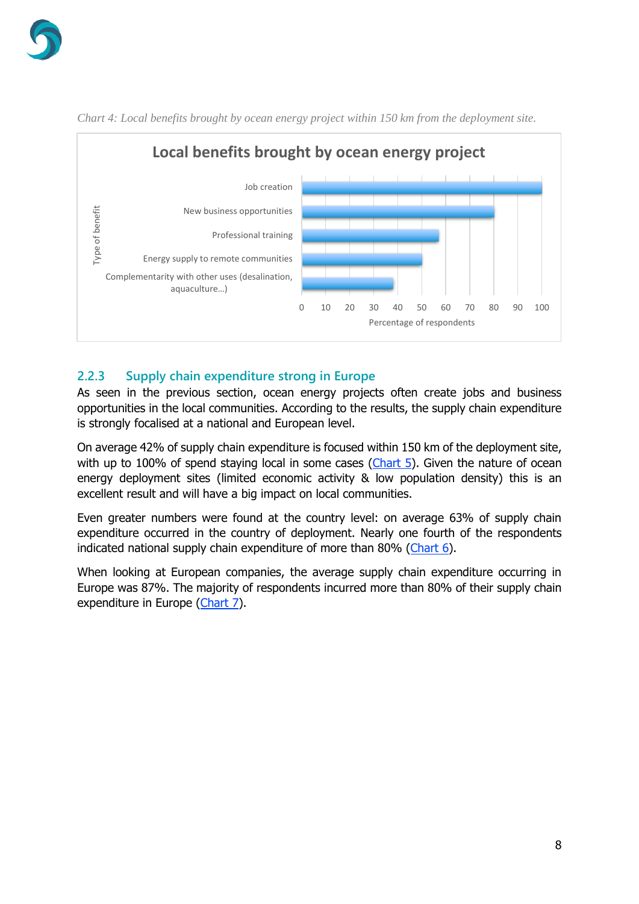

<span id="page-7-1"></span>

*Chart 4: Local benefits brought by ocean energy project within 150 km from the deployment site.*

### <span id="page-7-0"></span>**2.2.3 Supply chain expenditure strong in Europe**

As seen in the previous section, ocean energy projects often create jobs and business opportunities in the local communities. According to the results, the supply chain expenditure is strongly focalised at a national and European level.

On average 42% of supply chain expenditure is focused within 150 km of the deployment site, with up to 100% of spend staying local in some cases [\(Chart 5\)](#page-8-0). Given the nature of ocean energy deployment sites (limited economic activity & low population density) this is an excellent result and will have a big impact on local communities.

Even greater numbers were found at the country level: on average 63% of supply chain expenditure occurred in the country of deployment. Nearly one fourth of the respondents indicated national supply chain expenditure of more than 80% [\(Chart 6\)](#page-8-1).

When looking at European companies, the average supply chain expenditure occurring in Europe was 87%. The majority of respondents incurred more than 80% of their supply chain expenditure in Europe [\(Chart 7\)](#page-8-2).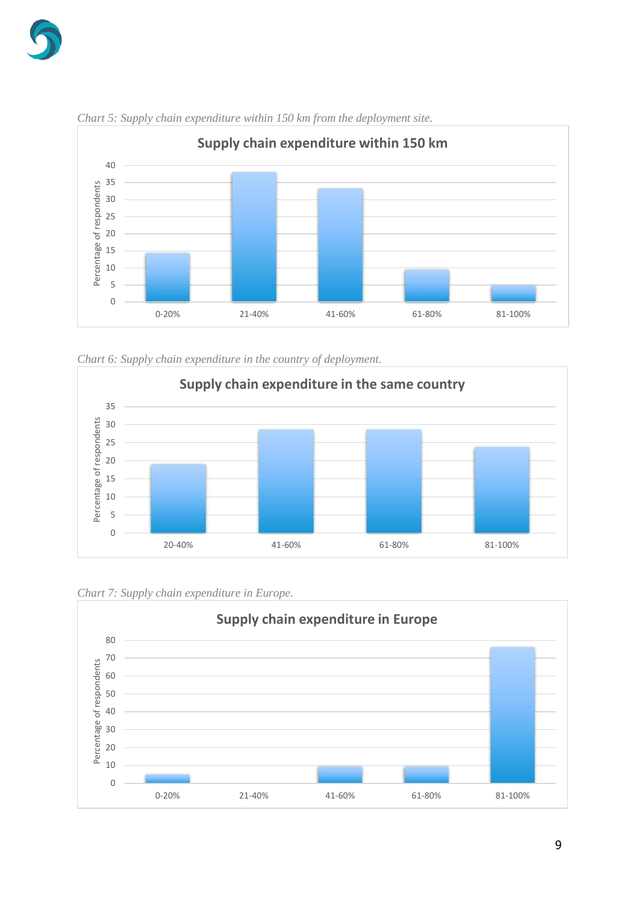



<span id="page-8-0"></span>*Chart 5: Supply chain expenditure within 150 km from the deployment site.*

<span id="page-8-1"></span>



<span id="page-8-2"></span>

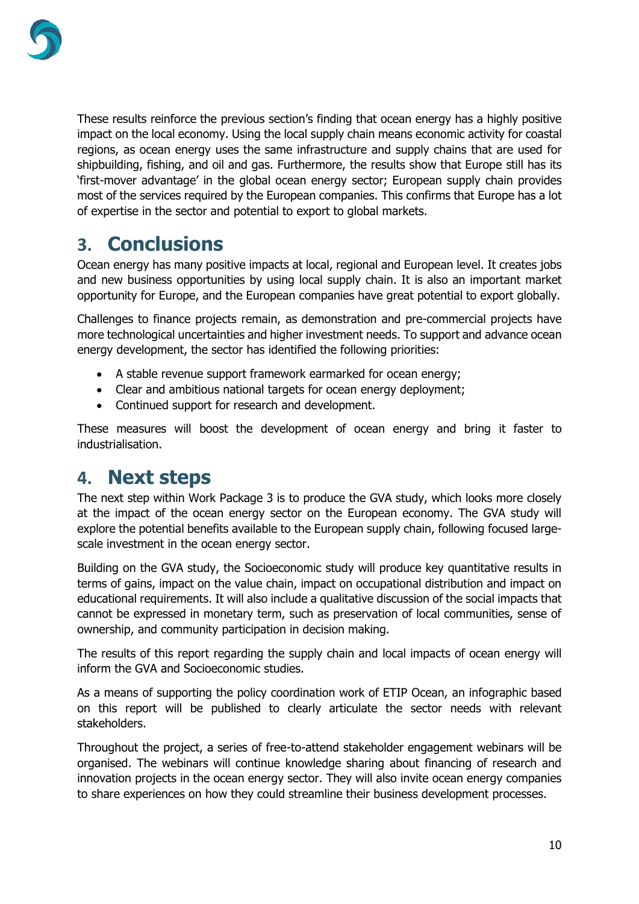

These results reinforce the previous section's finding that ocean energy has a highly positive impact on the local economy. Using the local supply chain means economic activity for coastal regions, as ocean energy uses the same infrastructure and supply chains that are used for shipbuilding, fishing, and oil and gas. Furthermore, the results show that Europe still has its 'first-mover advantage' in the global ocean energy sector; European supply chain provides most of the services required by the European companies. This confirms that Europe has a lot of expertise in the sector and potential to export to global markets.

## <span id="page-9-0"></span>**3. Conclusions**

Ocean energy has many positive impacts at local, regional and European level. It creates jobs and new business opportunities by using local supply chain. It is also an important market opportunity for Europe, and the European companies have great potential to export globally.

Challenges to finance projects remain, as demonstration and pre-commercial projects have more technological uncertainties and higher investment needs. To support and advance ocean energy development, the sector has identified the following priorities:

- A stable revenue support framework earmarked for ocean energy;
- Clear and ambitious national targets for ocean energy deployment;
- Continued support for research and development.

These measures will boost the development of ocean energy and bring it faster to industrialisation.

## <span id="page-9-1"></span>**4. Next steps**

The next step within Work Package 3 is to produce the GVA study, which looks more closely at the impact of the ocean energy sector on the European economy. The GVA study will explore the potential benefits available to the European supply chain, following focused largescale investment in the ocean energy sector.

Building on the GVA study, the Socioeconomic study will produce key quantitative results in terms of gains, impact on the value chain, impact on occupational distribution and impact on educational requirements. It will also include a qualitative discussion of the social impacts that cannot be expressed in monetary term, such as preservation of local communities, sense of ownership, and community participation in decision making.

The results of this report regarding the supply chain and local impacts of ocean energy will inform the GVA and Socioeconomic studies.

As a means of supporting the policy coordination work of ETIP Ocean, an infographic based on this report will be published to clearly articulate the sector needs with relevant stakeholders.

Throughout the project, a series of free-to-attend stakeholder engagement webinars will be organised. The webinars will continue knowledge sharing about financing of research and innovation projects in the ocean energy sector. They will also invite ocean energy companies to share experiences on how they could streamline their business development processes.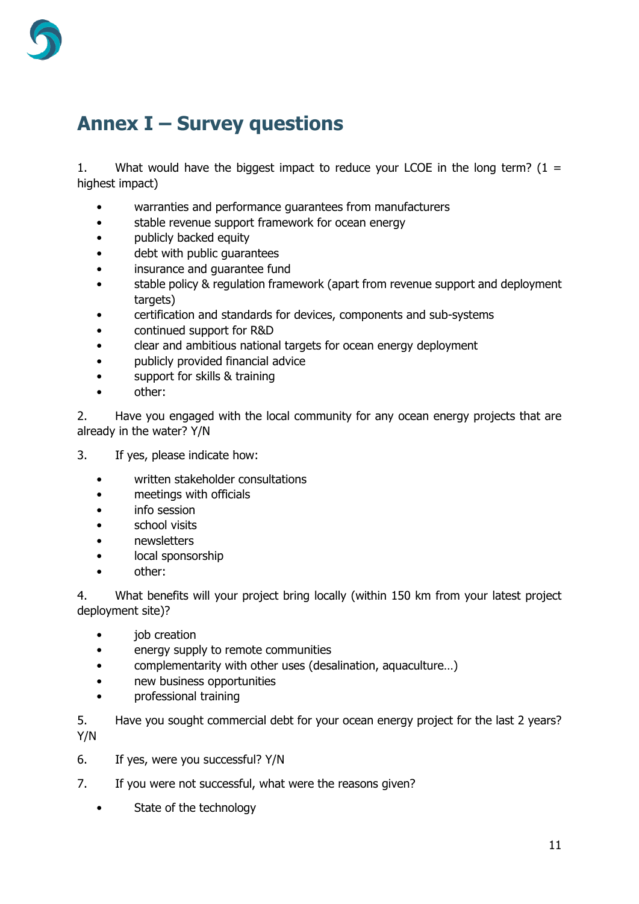

## <span id="page-10-0"></span>**Annex I – Survey questions**

1. What would have the biggest impact to reduce your LCOE in the long term?  $(1 =$ highest impact)

- warranties and performance guarantees from manufacturers
- stable revenue support framework for ocean energy
- publicly backed equity
- debt with public guarantees
- insurance and guarantee fund
- stable policy & regulation framework (apart from revenue support and deployment targets)
- certification and standards for devices, components and sub-systems
- continued support for R&D
- clear and ambitious national targets for ocean energy deployment
- publicly provided financial advice
- support for skills & training
- other:

2. Have you engaged with the local community for any ocean energy projects that are already in the water? Y/N

- 3. If yes, please indicate how:
	- written stakeholder consultations
	- meetings with officials
	- info session
	- school visits
	- newsletters
	- local sponsorship
	- other:

4. What benefits will your project bring locally (within 150 km from your latest project deployment site)?

- job creation
- energy supply to remote communities
- complementarity with other uses (desalination, aquaculture…)
- new business opportunities
- professional training

5. Have you sought commercial debt for your ocean energy project for the last 2 years? Y/N

- 6. If yes, were you successful? Y/N
- 7. If you were not successful, what were the reasons given?
	- State of the technology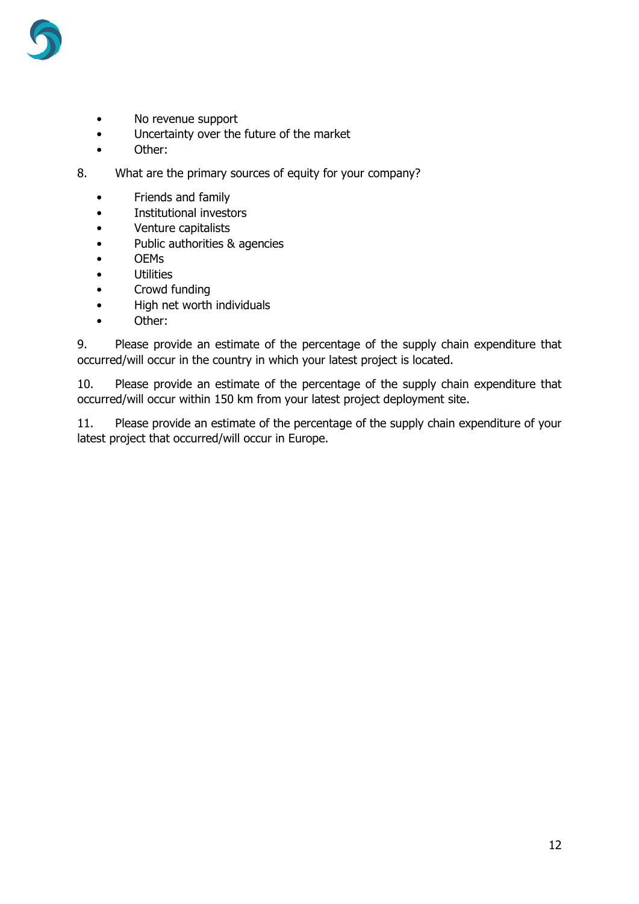

- No revenue support
- Uncertainty over the future of the market
- Other:
- 8. What are the primary sources of equity for your company?
	- Friends and family
	- Institutional investors
	- Venture capitalists
	- Public authorities & agencies
	- OEMs
	- Utilities
	- Crowd funding
	- High net worth individuals
	- Other:

9. Please provide an estimate of the percentage of the supply chain expenditure that occurred/will occur in the country in which your latest project is located.

10. Please provide an estimate of the percentage of the supply chain expenditure that occurred/will occur within 150 km from your latest project deployment site.

11. Please provide an estimate of the percentage of the supply chain expenditure of your latest project that occurred/will occur in Europe.